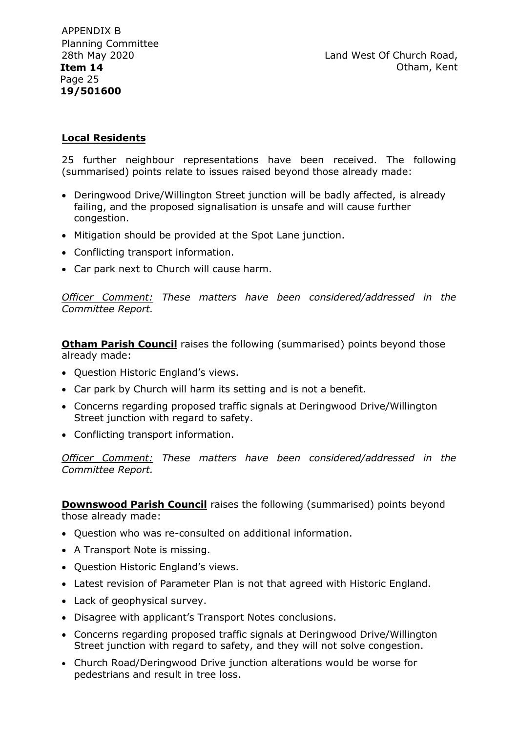Land West Of Church Road, Otham, Kent

## **Local Residents**

25 further neighbour representations have been received. The following (summarised) points relate to issues raised beyond those already made:

- Deringwood Drive/Willington Street junction will be badly affected, is already failing, and the proposed signalisation is unsafe and will cause further congestion.
- Mitigation should be provided at the Spot Lane junction.
- Conflicting transport information.
- Car park next to Church will cause harm.

*Officer Comment: These matters have been considered/addressed in the Committee Report.* 

**Otham Parish Council** raises the following (summarised) points beyond those already made:

- Question Historic England's views.
- Car park by Church will harm its setting and is not a benefit.
- Concerns regarding proposed traffic signals at Deringwood Drive/Willington Street junction with regard to safety.
- Conflicting transport information.

*Officer Comment: These matters have been considered/addressed in the Committee Report.* 

**Downswood Parish Council** raises the following (summarised) points beyond those already made:

- Question who was re-consulted on additional information.
- A Transport Note is missing.
- Question Historic England's views.
- Latest revision of Parameter Plan is not that agreed with Historic England.
- Lack of geophysical survey.
- Disagree with applicant's Transport Notes conclusions.
- Concerns regarding proposed traffic signals at Deringwood Drive/Willington Street junction with regard to safety, and they will not solve congestion.
- Church Road/Deringwood Drive junction alterations would be worse for pedestrians and result in tree loss.